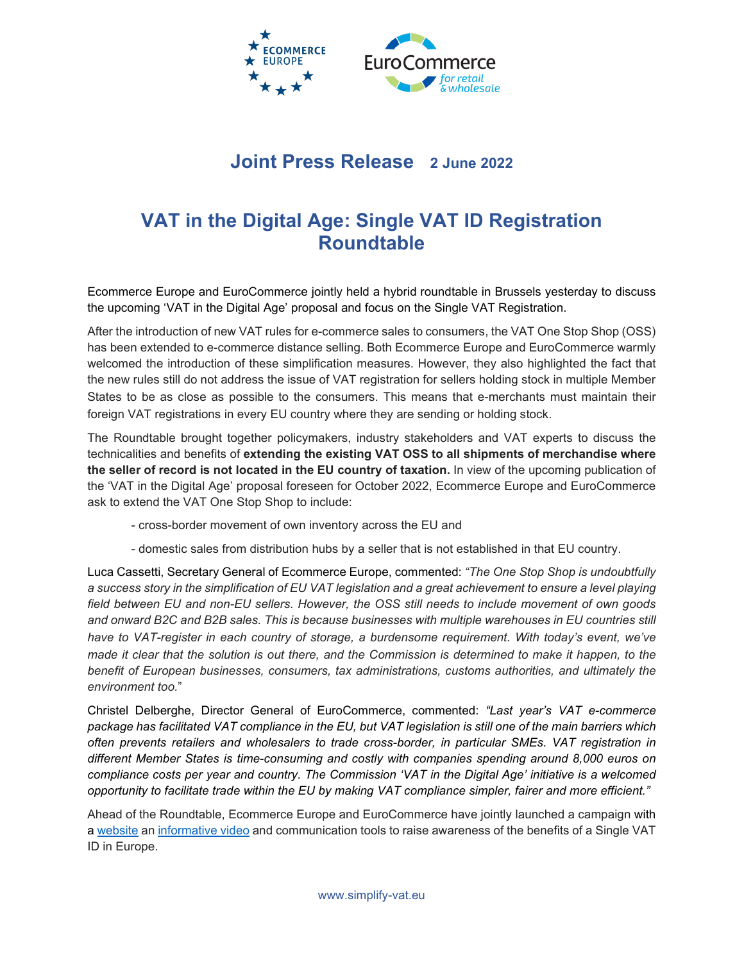

## **Joint Press Release 2 June 2022**

## **VAT in the Digital Age: Single VAT ID Registration Roundtable**

Ecommerce Europe and EuroCommerce jointly held a hybrid roundtable in Brussels yesterday to discuss the upcoming 'VAT in the Digital Age' proposal and focus on the Single VAT Registration.

After the introduction of new VAT rules for e-commerce sales to consumers, the VAT One Stop Shop (OSS) has been extended to e-commerce distance selling. Both Ecommerce Europe and EuroCommerce warmly welcomed the introduction of these simplification measures. However, they also highlighted the fact that the new rules still do not address the issue of VAT registration for sellers holding stock in multiple Member States to be as close as possible to the consumers. This means that e-merchants must maintain their foreign VAT registrations in every EU country where they are sending or holding stock.

The Roundtable brought together policymakers, industry stakeholders and VAT experts to discuss the technicalities and benefits of **extending the existing VAT OSS to all shipments of merchandise where the seller of record is not located in the EU country of taxation.** In view of the upcoming publication of the 'VAT in the Digital Age' proposal foreseen for October 2022, Ecommerce Europe and EuroCommerce ask to extend the VAT One Stop Shop to include:

- cross-border movement of own inventory across the EU and
- domestic sales from distribution hubs by a seller that is not established in that EU country.

Luca Cassetti, Secretary General of Ecommerce Europe, commented: *"The One Stop Shop is undoubtfully a success story in the simplification of EU VAT legislation and a great achievement to ensure a level playing field between EU and non-EU sellers. However, the OSS still needs to include movement of own goods and onward B2C and B2B sales. This is because businesses with multiple warehouses in EU countries still have to VAT-register in each country of storage, a burdensome requirement. With today's event, we've made it clear that the solution is out there, and the Commission is determined to make it happen, to the benefit of European businesses, consumers, tax administrations, customs authorities, and ultimately the environment too.*"

Christel Delberghe, Director General of EuroCommerce, commented: *"Last year's VAT e-commerce package has facilitated VAT compliance in the EU, but VAT legislation is still one of the main barriers which often prevents retailers and wholesalers to trade cross-border, in particular SMEs. VAT registration in different Member States is time-consuming and costly with companies spending around 8,000 euros on compliance costs per year and country. The Commission 'VAT in the Digital Age' initiative is a welcomed opportunity to facilitate trade within the EU by making VAT compliance simpler, fairer and more efficient."*

Ahead of the Roundtable, Ecommerce Europe and EuroCommerce have jointly launched a campaign with a [website](https://simplify-vat.eu/) an [informative video](https://youtu.be/DaERhaiYknc) and communication tools to raise awareness of the benefits of a Single VAT ID in Europe.